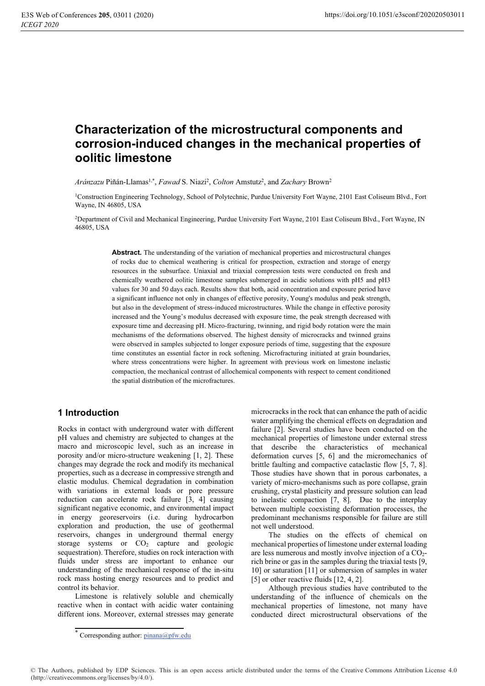# Characterization of the microstructural components and corrosion-induced changes in the mechanical properties of oolitic limestone

Aránzazu Piñán-Llamas<sup>1,\*</sup>, Fawad S. Niazi<sup>2</sup>, Colton Amstutz<sup>2</sup>, and Zachary Brown<sup>2</sup>

<sup>1</sup>Construction Engineering Technology, School of Polytechnic, Purdue University Fort Wayne, 2101 East Coliseum Blyd., Fort Wayne, IN 46805, USA

<sup>2</sup>Department of Civil and Mechanical Engineering, Purdue University Fort Wayne, 2101 East Coliseum Blvd., Fort Wayne, IN 46805, USA

> Abstract. The understanding of the variation of mechanical properties and microstructural changes of rocks due to chemical weathering is critical for prospection, extraction and storage of energy resources in the subsurface. Uniaxial and triaxial compression tests were conducted on fresh and chemically weathered oolitic limestone samples submerged in acidic solutions with pH5 and pH3 values for 30 and 50 days each. Results show that both, acid concentration and exposure period have a significant influence not only in changes of effective porosity, Young's modulus and peak strength, but also in the development of stress-induced microstructures. While the change in effective porosity increased and the Young's modulus decreased with exposure time, the peak strength decreased with exposure time and decreasing pH. Micro-fracturing, twinning, and rigid body rotation were the main mechanisms of the deformations observed. The highest density of microcracks and twinned grains were observed in samples subjected to longer exposure periods of time, suggesting that the exposure time constitutes an essential factor in rock softening. Microfracturing initiated at grain boundaries, where stress concentrations were higher. In agreement with previous work on limestone inelastic compaction, the mechanical contrast of allochemical components with respect to cement conditioned the spatial distribution of the microfractures.

# 1 Introduction

Rocks in contact with underground water with different pH values and chemistry are subjected to changes at the macro and microscopic level, such as an increase in porosity and/or micro-structure weakening [1, 2]. These changes may degrade the rock and modify its mechanical properties, such as a decrease in compressive strength and elastic modulus. Chemical degradation in combination with variations in external loads or pore pressure reduction can accelerate rock failure  $\begin{bmatrix} 3 \\ 4 \end{bmatrix}$  causing significant negative economic, and environmental impact in energy georeservoirs (i.e. during hydrocarbon exploration and production, the use of geothermal reservoirs, changes in underground thermal energy storage systems or  $CO<sub>2</sub>$  capture and geologic sequestration). Therefore, studies on rock interaction with fluids under stress are important to enhance our understanding of the mechanical response of the in-situ rock mass hosting energy resources and to predict and control its behavior.

Limestone is relatively soluble and chemically reactive when in contact with acidic water containing different ions. Moreover, external stresses may generate microcracks in the rock that can enhance the path of acidic water amplifying the chemical effects on degradation and failure [2]. Several studies have been conducted on the mechanical properties of limestone under external stress that describe the characteristics of mechanical deformation curves  $[5, 6]$  and the micromechanics of brittle faulting and compactive cataclastic flow [5, 7, 8]. Those studies have shown that in porous carbonates, a variety of micro-mechanisms such as pore collapse, grain crushing, crystal plasticity and pressure solution can lead to inelastic compaction [7, 8]. Due to the interplay between multiple coexisting deformation processes, the predominant mechanisms responsible for failure are still not well understood.

The studies on the effects of chemical on mechanical properties of limestone under external loading are less numerous and mostly involve injection of a  $CO<sub>2</sub>$ rich brine or gas in the samples during the triaxial tests [9, 10] or saturation [11] or submersion of samples in water [5] or other reactive fluids  $[12, 4, 2]$ .

Although previous studies have contributed to the understanding of the influence of chemicals on the mechanical properties of limestone, not many have conducted direct microstructural observations of the

© The Authors, published by EDP Sciences. This is an open access article distributed under the terms of the Creative Commons Attribution License 4.0 (http://creativecommons.org/licenses/by/4.0/).

<sup>\*</sup> Corresponding author: pinana@pfw.edu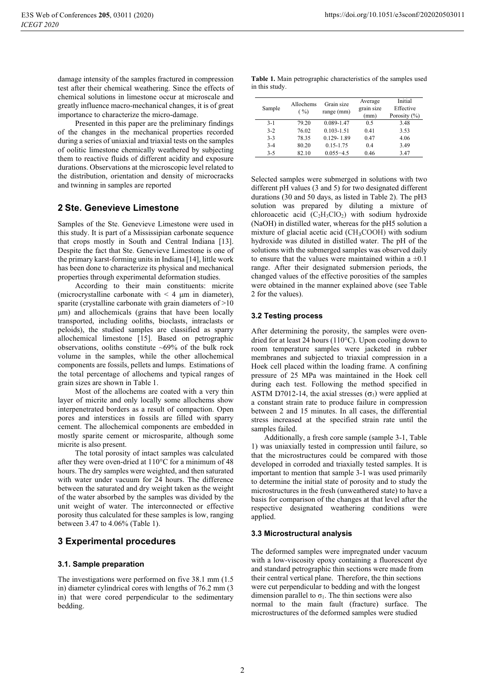damage intensity of the samples fractured in compression test after their chemical weathering. Since the effects of chemical solutions in limestone occur at microscale and greatly influence macro-mechanical changes, it is of great importance to characterize the micro-damage.

Presented in this paper are the preliminary findings of the changes in the mechanical properties recorded during a series of uniaxial and triaxial tests on the samples of oolitic limestone chemically weathered by subjecting them to reactive fluids of different acidity and exposure durations. Observations at the microscopic level related to the distribution, orientation and density of microcracks and twinning in samples are reported

#### 2 Ste. Genevieve Limestone

Samples of the Ste. Genevieve Limestone were used in this study. It is part of a Mississipian carbonate sequence that crops mostly in South and Central Indiana [13]. Despite the fact that Ste. Genevieve Limestone is one of the primary karst-forming units in Indiana [14], little work has been done to characterize its physical and mechanical properties through experimental deformation studies.

According to their main constituents: micrite (microcrystalline carbonate with  $\leq 4$  µm in diameter), sparite (crystalline carbonate with grain diameters of  $>10$ um) and allochemicals (grains that have been locally transported, including ooliths, bioclasts, intraclasts or peloids), the studied samples are classified as sparry allochemical limestone [15]. Based on petrographic observations, ooliths constitute  $\sim 69\%$  of the bulk rock volume in the samples, while the other allochemical components are fossils, pellets and lumps. Estimations of the total percentage of allochems and typical ranges of grain sizes are shown in Table 1.

Most of the allochems are coated with a very thin layer of micrite and only locally some allochems show interpenetrated borders as a result of compaction. Open pores and interstices in fossils are filled with sparry cement. The allochemical components are embedded in mostly sparite cement or microsparite, although some micrite is also present.

The total porosity of intact samples was calculated after they were oven-dried at  $110^{\circ}$ C for a minimum of 48 hours. The dry samples were weighted, and then saturated with water under vacuum for 24 hours. The difference between the saturated and dry weight taken as the weight of the water absorbed by the samples was divided by the unit weight of water. The interconnected or effective porosity thus calculated for these samples is low, ranging between 3.47 to 4.06% (Table 1).

### **3 Experimental procedures**

#### 3.1. Sample preparation

The investigations were performed on five 38.1 mm (1.5) in) diameter cylindrical cores with lengths of 76.2 mm (3 in) that were cored perpendicular to the sedimentary bedding.

|                | <b>Table 1.</b> Main petrographic characteristics of the samples used |  |
|----------------|-----------------------------------------------------------------------|--|
| in this study. |                                                                       |  |

| Sample  | Allochems<br>( %) | Grain size<br>range (mm) | Average<br>grain size<br>(mm) | Initial<br>Effective<br>Porosity $(\% )$ |
|---------|-------------------|--------------------------|-------------------------------|------------------------------------------|
| $3-1$   | 79.20             | 0.089-1.47               | 0.5                           | 3.48                                     |
| $3-2$   | 76.02             | $0.103 - 1.51$           | 0.41                          | 3.53                                     |
| $3 - 3$ | 78.35             | $0.129 - 1.89$           | 0.47                          | 4.06                                     |
| $3-4$   | 80.20             | $0.15 - 1.75$            | 0.4                           | 3.49                                     |
| $3 - 5$ | 82.10             | $0.055 - 4.5$            | 0.46                          | 3.47                                     |

Selected samples were submerged in solutions with two different pH values (3 and 5) for two designated different durations (30 and 50 days, as listed in Table 2). The pH3 solution was prepared by diluting a mixture of chloroacetic acid  $(C_2H_3ClO_2)$  with sodium hydroxide (NaOH) in distilled water, whereas for the pH5 solution a mixture of glacial acetic acid ( $CH<sub>3</sub>COOH$ ) with sodium hydroxide was diluted in distilled water. The pH of the solutions with the submerged samples was observed daily to ensure that the values were maintained within a  $\pm 0.1$ range. After their designated submersion periods, the changed values of the effective porosities of the samples were obtained in the manner explained above (see Table 2 for the values).

#### 3.2 Testing process

After determining the porosity, the samples were ovendried for at least 24 hours ( $110^{\circ}$ C). Upon cooling down to room temperature samples were jacketed in rubber membranes and subjected to triaxial compression in a Hoek cell placed within the loading frame. A confining pressure of 25 MPa was maintained in the Hoek cell during each test. Following the method specified in ASTM D7012-14, the axial stresses  $(\sigma_1)$  were applied at a constant strain rate to produce failure in compression between 2 and 15 minutes. In all cases, the differential stress increased at the specified strain rate until the samples failed.

Additionally, a fresh core sample (sample 3-1, Table 1) was uniaxially tested in compression until failure, so that the microstructures could be compared with those developed in corroded and triaxially tested samples. It is important to mention that sample 3-1 was used primarily to determine the initial state of porosity and to study the microstructures in the fresh (unweathered state) to have a basis for comparison of the changes at that level after the respective designated weathering conditions were applied.

#### 3.3 Microstructural analysis

The deformed samples were impregnated under vacuum with a low-viscosity epoxy containing a fluorescent dye and standard petrographic thin sections were made from their central vertical plane. Therefore, the thin sections were cut perpendicular to bedding and with the longest dimension parallel to  $\sigma_1$ . The thin sections were also normal to the main fault (fracture) surface. The microstructures of the deformed samples were studied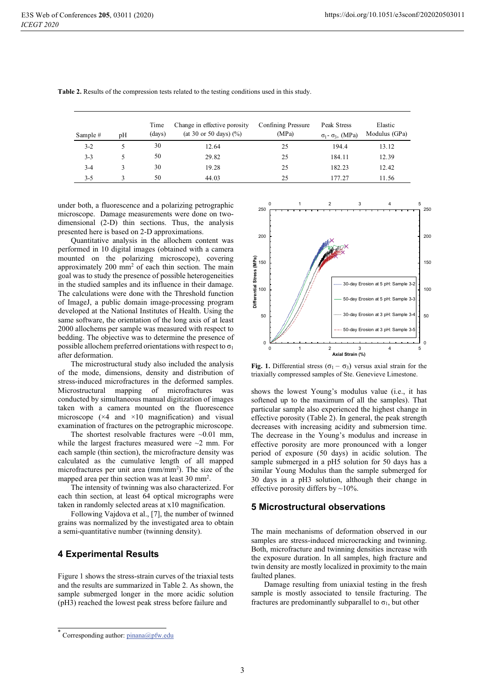| Sample # | pH | Time<br>(days) | Change in effective porosity<br>(at 30 or 50 days) $(\% )$ | Confining Pressure<br>(MPa) | Peak Stress<br>$\sigma_1$ - $\sigma_3$ , (MPa) | Elastic<br>Modulus (GPa) |
|----------|----|----------------|------------------------------------------------------------|-----------------------------|------------------------------------------------|--------------------------|
| $3-2$    |    | 30             | 12.64                                                      | 25                          | 194.4                                          | 13.12                    |
| $3 - 3$  |    | 50             | 29.82                                                      | 25                          | 184.11                                         | 12.39                    |
| $3-4$    |    | 30             | 19.28                                                      | 25                          | 182.23                                         | 12.42                    |
| $3 - 5$  |    | 50             | 44.03                                                      | 25                          | 177.27                                         | 11.56                    |

Table 2. Results of the compression tests related to the testing conditions used in this study.

under both, a fluorescence and a polarizing petrographic microscope. Damage measurements were done on twodimensional (2-D) thin sections. Thus, the analysis presented here is based on 2-D approximations.

Quantitative analysis in the allochem content was performed in 10 digital images (obtained with a camera mounted on the polarizing microscope), covering approximately 200 mm<sup>2</sup> of each thin section. The main goal was to study the presence of possible heterogeneities in the studied samples and its influence in their damage. The calculations were done with the Threshold function of ImageJ, a public domain image-processing program developed at the National Institutes of Health. Using the same software, the orientation of the long axis of at least 2000 allochems per sample was measured with respect to bedding. The objective was to determine the presence of possible allochem preferred orientations with respect to  $\sigma_1$ after deformation.

The microstructural study also included the analysis of the mode, dimensions, density and distribution of stress-induced microfractures in the deformed samples. Microstructural mapping of microfractures was conducted by simultaneous manual digitization of images taken with a camera mounted on the fluorescence microscope  $(x4$  and  $x10$  magnification) and visual examination of fractures on the petrographic microscope.

The shortest resolvable fractures were  $\sim 0.01$  mm. while the largest fractures measured were  $\sim$ 2 mm. For each sample (thin section), the microfracture density was calculated as the cumulative length of all mapped microfractures per unit area (mm/mm<sup>2</sup>). The size of the mapped area per thin section was at least 30 mm<sup>2</sup>.

The intensity of twinning was also characterized. For each thin section, at least 64 optical micrographs were taken in randomly selected areas at x10 magnification.

Following Vajdova et al., [7], the number of twinned grains was normalized by the investigated area to obtain a semi-quantitative number (twinning density).

#### **4 Experimental Results**

Figure 1 shows the stress-strain curves of the triaxial tests and the results are summarized in Table 2. As shown, the sample submerged longer in the more acidic solution (pH3) reached the lowest peak stress before failure and



Fig. 1. Differential stress  $(\sigma_1 - \sigma_3)$  versus axial strain for the triaxially compressed samples of Ste. Genevieve Limestone.

shows the lowest Young's modulus value (i.e., it has softened up to the maximum of all the samples). That particular sample also experienced the highest change in effective porosity (Table 2). In general, the peak strength decreases with increasing acidity and submersion time. The decrease in the Young's modulus and increase in effective porosity are more pronounced with a longer period of exposure (50 days) in acidic solution. The sample submerged in a pH5 solution for 50 days has a similar Young Modulus than the sample submerged for 30 days in a pH3 solution, although their change in effective porosity differs by  $\sim$ 10%.

#### 5 Microstructural observations

The main mechanisms of deformation observed in our samples are stress-induced microcracking and twinning. Both, microfracture and twinning densities increase with the exposure duration. In all samples, high fracture and twin density are mostly localized in proximity to the main faulted planes.

Damage resulting from uniaxial testing in the fresh sample is mostly associated to tensile fracturing. The fractures are predominantly subparallel to  $\sigma_1$ , but other

Corresponding author: pinana@pfw.edu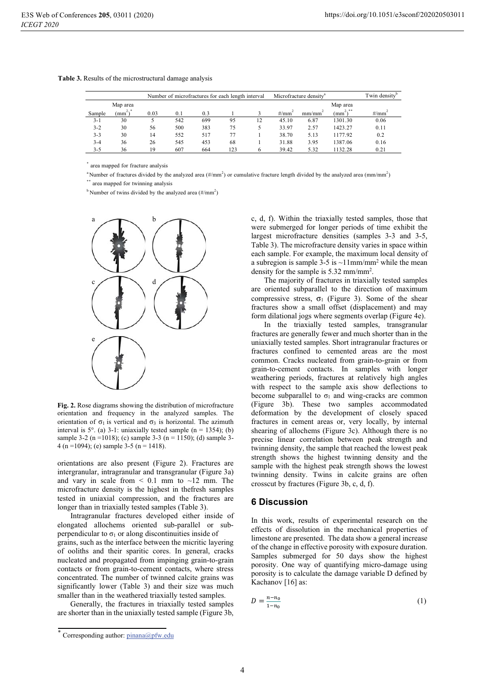|         |                       | Number of microfractures for each length interval |     |     |     |    | Microfracture density <sup>a</sup> |       |                               | Twin density |
|---------|-----------------------|---------------------------------------------------|-----|-----|-----|----|------------------------------------|-------|-------------------------------|--------------|
|         | Map area              |                                                   |     |     |     |    |                                    |       | Map area                      |              |
| Sample  | $mm^{2}$ <sup>*</sup> | 0.03                                              | 0.1 | 0.3 |     |    | #/ $mm2$                           | mm/mm | $\text{mm}^{2}$ <sup>**</sup> | $\#/mm^2$    |
| $3 - 1$ | 30                    |                                                   | 542 | 699 | 95  | 12 | 45.10                              | 6.87  | 1301.30                       | 0.06         |
| $3 - 2$ | 30                    | 56                                                | 500 | 383 | 75  |    | 33.97                              | 2.57  | 1423.27                       | 0.11         |
| $3 - 3$ | 30                    | 14                                                | 552 | 517 |     |    | 38.70                              | 5.13  | 1177.92                       | 0.2          |
| $3 - 4$ | 36                    | 26                                                | 545 | 453 | 68  |    | 31.88                              | 3.95  | 1387.06                       | 0.16         |
| $3 - 5$ | 36                    | 19                                                | 607 | 664 | 123 |    | 39.42                              | 5.32  | 132.28                        | 0.21         |

#### Table 3. Results of the microstructural damage analysis

\* area mapped for fracture analysis

<sup>a</sup> Number of fractures divided by the analyzed area (#/mm<sup>2</sup>) or cumulative fracture length divided by the analyzed area (mm/mm<sup>2</sup>)

area mapped for twinning analysis

 $b$  Number of twins divided by the analyzed area (#/mm<sup>2</sup>)



Fig. 2. Rose diagrams showing the distribution of microfracture orientation and frequency in the analyzed samples. The orientation of  $\sigma_1$  is vertical and  $\sigma_3$  is horizontal. The azimuth interval is  $5^\circ$ . (a) 3-1: uniaxially tested sample (n = 1354); (b) sample 3-2 (n = 1018); (c) sample 3-3 (n = 1150); (d) sample 3-4 (n = 1094); (e) sample 3-5 (n = 1418).

orientations are also present (Figure 2). Fractures are intergranular, intragranular and transgranular (Figure 3a) and vary in scale from  $\leq 0.1$  mm to  $\sim 12$  mm. The microfracture density is the highest in thefresh samples tested in uniaxial compression, and the fractures are longer than in triaxially tested samples (Table 3).

Intragranular fractures developed either inside of elongated allochems oriented sub-parallel or subperpendicular to  $\sigma_1$  or along discontinuities inside of grains, such as the interface between the micritic layering of ooliths and their sparitic cores. In general, cracks nucleated and propagated from impinging grain-to-grain contacts or from grain-to-cement contacts, where stress concentrated. The number of twinned calcite grains was significantly lower (Table 3) and their size was much smaller than in the weathered triaxially tested samples.

Generally, the fractures in triaxially tested samples are shorter than in the uniaxially tested sample (Figure 3b, c, d, f). Within the triaxially tested samples, those that were submerged for longer periods of time exhibit the largest microfracture densities (samples 3-3 and 3-5, Table 3). The microfracture density varies in space within each sample. For example, the maximum local density of a subregion is sample 3-5 is  $\sim$ 11mm/mm<sup>2</sup> while the mean density for the sample is  $5.32$  mm/mm<sup>2</sup>.

The majority of fractures in triaxially tested samples are oriented subparallel to the direction of maximum compressive stress,  $\sigma_1$  (Figure 3). Some of the shear fractures show a small offset (displacement) and may form dilational jogs where segments overlap (Figure 4e).

In the triaxially tested samples, transgranular fractures are generally fewer and much shorter than in the uniaxially tested samples. Short intragranular fractures or fractures confined to cemented areas are the most common. Cracks nucleated from grain-to-grain or from grain-to-cement contacts. In samples with longer weathering periods, fractures at relatively high angles with respect to the sample axis show deflections to become subparallel to  $\sigma_1$  and wing-cracks are common (Figure 3b). These two samples accommodated deformation by the development of closely spaced fractures in cement areas or, very locally, by internal shearing of allochems (Figure 3c). Although there is no precise linear correlation between peak strength and twinning density, the sample that reached the lowest peak strength shows the highest twinning density and the sample with the highest peak strength shows the lowest twinning density. Twins in calcite grains are often crosscut by fractures (Figure 3b, c, d, f).

#### **6 Discussion**

In this work, results of experimental research on the effects of dissolution in the mechanical properties of limestone are presented. The data show a general increase of the change in effective porosity with exposure duration. Samples submerged for 50 days show the highest porosity. One way of quantifying micro-damage using porosity is to calculate the damage variable D defined by Kachanov [16] as:

$$
D = \frac{n - n_0}{1 - n_0} \tag{1}
$$

<sup>\*</sup> Corresponding author: pinana@pfw.edu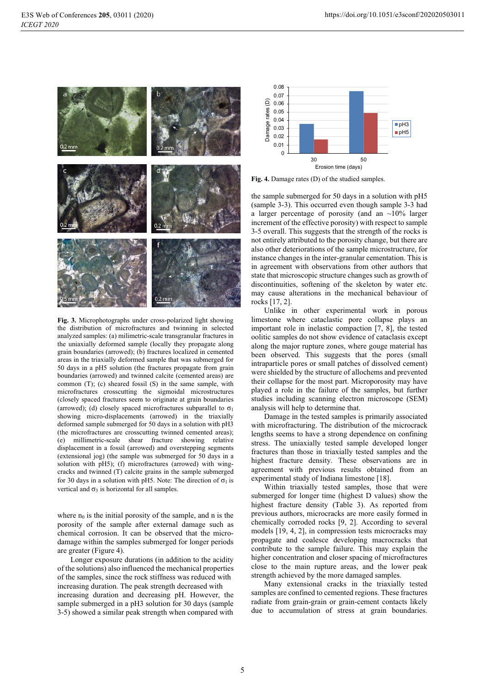

Fig. 3. Microphotographs under cross-polarized light showing the distribution of microfractures and twinning in selected analyzed samples: (a) milimetric-scale transgranular fractures in the uniaxially deformed sample (locally they propagate along grain boundaries (arrowed); (b) fractures localized in cemented areas in the triaxially deformed sample that was submerged for 50 days in a pH5 solution (the fractures propagate from grain boundaries (arrowed) and twinned calcite (cemented areas) are common (T); (c) sheared fossil (S) in the same sample, with microfractures crosscutting the sigmoidal microstructures (closely spaced fractures seem to originate at grain boundaries (arrowed); (d) closely spaced microfractures subparallel to  $\sigma_1$ showing micro-displacements (arrowed) in the triaxially deformed sample submerged for 50 days in a solution with pH3 (the microfractures are crosscutting twinned cemented areas); (e) millimetric-scale shear fracture showing relative displacement in a fossil (arrowed) and overstepping segments (extensional jog) (the sample was submerged for 50 days in a solution with pH5); (f) microfractures (arrowed) with wingcracks and twinned (T) calcite grains in the sample submerged for 30 days in a solution with pH5. Note: The direction of  $\sigma_1$  is vertical and  $\sigma_3$  is horizontal for all samples.

where  $n_0$  is the initial porosity of the sample, and n is the porosity of the sample after external damage such as chemical corrosion. It can be observed that the microdamage within the samples submerged for longer periods are greater (Figure 4).

Longer exposure durations (in addition to the acidity of the solutions) also influenced the mechanical properties of the samples, since the rock stiffness was reduced with increasing duration. The peak strength decreased with increasing duration and decreasing pH. However, the sample submerged in a pH3 solution for 30 days (sample 3-5) showed a similar peak strength when compared with



Fig. 4. Damage rates (D) of the studied samples.

the sample submerged for 50 days in a solution with pH5 (sample 3-3). This occurred even though sample 3-3 had a larger percentage of porosity (and an  $\sim$ 10% larger increment of the effective porosity) with respect to sample 3-5 overall. This suggests that the strength of the rocks is not entirely attributed to the porosity change, but there are also other deteriorations of the sample microstructure, for instance changes in the inter-granular cementation. This is in agreement with observations from other authors that state that microscopic structure changes such as growth of discontinuities, softening of the skeleton by water etc. may cause alterations in the mechanical behaviour of rocks [17, 2].

Unlike in other experimental work in porous limestone where cataclastic pore collapse plays an important role in inelastic compaction [7, 8], the tested oolitic samples do not show evidence of cataclasis except along the major rupture zones, where gouge material has been observed. This suggests that the pores (small intraparticle pores or small patches of dissolved cement) were shielded by the structure of allochems and prevented their collapse for the most part. Microporosity may have played a role in the failure of the samples, but further studies including scanning electron microscope (SEM) analysis will help to determine that.

Damage in the tested samples is primarily associated with microfracturing. The distribution of the microcrack lengths seems to have a strong dependence on confining stress. The uniaxially tested sample developed longer fractures than those in triaxially tested samples and the highest fracture density. These observations are in agreement with previous results obtained from an experimental study of Indiana limestone [18].

Within triaxially tested samples, those that were submerged for longer time (highest D values) show the highest fracture density (Table 3). As reported from previous authors, microcracks are more easily formed in chemically corroded rocks [9, 2]. According to several models [19, 4, 2], in compression tests microcracks may propagate and coalesce developing macrocracks that contribute to the sample failure. This may explain the higher concentration and closer spacing of microfractures close to the main rupture areas, and the lower peak strength achieved by the more damaged samples.

Many extensional cracks in the triaxially tested samples are confined to cemented regions. These fractures radiate from grain-grain or grain-cement contacts likely due to accumulation of stress at grain boundaries.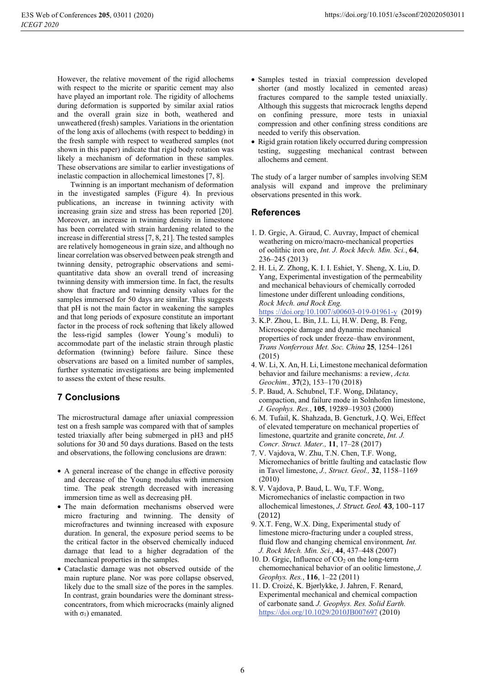However, the relative movement of the rigid allochems with respect to the micrite or sparitic cement may also have played an important role. The rigidity of allochems during deformation is supported by similar axial ratios and the overall grain size in both, weathered and unweathered (fresh) samples. Variations in the orientation of the long axis of allochems (with respect to bedding) in the fresh sample with respect to weathered samples (not shown in this paper) indicate that rigid body rotation was likely a mechanism of deformation in these samples. These observations are similar to earlier investigations of inelastic compaction in allochemical limestones [7, 8].

Twinning is an important mechanism of deformation in the investigated samples (Figure 4). In previous publications, an increase in twinning activity with increasing grain size and stress has been reported [20]. Moreover, an increase in twinning density in limestone has been correlated with strain hardening related to the increase in differential stress [7, 8, 21]. The tested samples are relatively homogeneous in grain size, and although no linear correlation was observed between peak strength and twinning density, petrographic observations and semiquantitative data show an overall trend of increasing twinning density with immersion time. In fact, the results show that fracture and twinning density values for the samples immersed for 50 days are similar. This suggests that pH is not the main factor in weakening the samples and that long periods of exposure constitute an important factor in the process of rock softening that likely allowed the less-rigid samples (lower Young's moduli) to accommodate part of the inelastic strain through plastic deformation (twinning) before failure. Since these observations are based on a limited number of samples, further systematic investigations are being implemented to assess the extent of these results.

# **7 Conclusions**

The microstructural damage after uniaxial compression test on a fresh sample was compared with that of samples tested triaxially after being submerged in pH3 and pH5 solutions for 30 and 50 days durations. Based on the tests and observations, the following conclusions are drawn:

- A general increase of the change in effective porosity and decrease of the Young modulus with immersion time. The peak strength decreased with increasing immersion time as well as decreasing pH.
- The main deformation mechanisms observed were micro fracturing and twinning. The density of microfractures and twinning increased with exposure duration. In general, the exposure period seems to be the critical factor in the observed chemically induced damage that lead to a higher degradation of the mechanical properties in the samples.
- Cataclastic damage was not observed outside of the main rupture plane. Nor was pore collapse observed, likely due to the small size of the pores in the samples. In contrast, grain boundaries were the dominant stressconcentrators, from which microcracks (mainly aligned with  $\sigma_1$ ) emanated.
- Samples tested in triaxial compression developed shorter (and mostly localized in cemented areas) fractures compared to the sample tested uniaxially. Although this suggests that microcrack lengths depend on confining pressure, more tests in uniaxial compression and other confining stress conditions are needed to verify this observation.
- Rigid grain rotation likely occurred during compression testing, suggesting mechanical contrast between allochems and cement.

The study of a larger number of samples involving SEM analysis will expand and improve the preliminary observations presented in this work.

### **References**

- 1. D. Grgic, A. Giraud, C. Auvray, Impact of chemical weathering on micro/macro-mechanical properties of oolithic iron ore, Int. J. Rock Mech. Min. Sci., 64, 236-245 (2013)
- 2. H. Li, Z. Zhong, K. I. I. Eshiet, Y. Sheng, X. Liu, D. Yang, Experimental investigation of the permeability and mechanical behaviours of chemically corroded limestone under different unloading conditions, Rock Mech. and Rock Eng.
- https://doi.org/10.1007/s00603-019-01961-y (2019)
- 3. K.P. Zhou, L. Bin, J.L. Li, H.W. Deng, B. Feng, Microscopic damage and dynamic mechanical properties of rock under freeze-thaw environment, Trans Nonferrous Met. Soc. China 25, 1254-1261  $(2015)$
- 4. W. Li, X. An, H. Li, Limestone mechanical deformation behavior and failure mechanisms: a review, Acta. Geochim., 37(2), 153-170 (2018)
- 5. P. Baud, A. Schubnel, T.F. Wong, Dilatancy, compaction, and failure mode in Solnhofen limestone, J. Geophys. Res., 105, 19289-19303 (2000)
- 6. M. Tufail, K. Shahzada, B. Gencturk, J.Q. Wei, Effect of elevated temperature on mechanical properties of limestone, quartzite and granite concrete, *Int. J.* Concr. Struct. Mater., 11, 17-28 (2017)
- 7. V. Vajdova, W. Zhu, T.N. Chen, T.F. Wong, Micromechanics of brittle faulting and cataclastic flow in Tavel limestone, J., Struct. Geol., 32, 1158-1169  $(2010)$
- 8. V. Vajdova, P. Baud, L. Wu, T.F. Wong, Micromechanics of inelastic compaction in two allochemical limestones, J. Struct. Geol. 43, 100-117  $(2012)$
- 9. X.T. Feng, W.X. Ding, Experimental study of limestone micro-fracturing under a coupled stress. fluid flow and changing chemical environment, *Int*. J. Rock Mech. Min. Sci., 44, 437-448 (2007)
- 10. D. Grgic, Influence of  $CO<sub>2</sub>$  on the long-term chemomechanical behavior of an oolitic limestone, J. Geophys. Res., 116, 1-22 (2011)
- 11. D. Croizé, K. Bjørlykke, J. Jahren, F. Renard, Experimental mechanical and chemical compaction of carbonate sand. J. Geophys. Res. Solid Earth. https://doi.org/10.1029/2010JB007697 (2010)